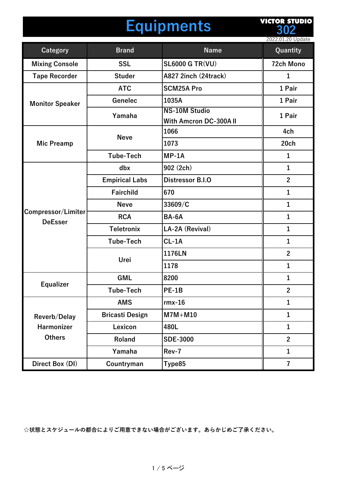### **Equipments**

**VICTOR STUDIO 302**

|                                      |                        |                                                      | 2022.01.20 Update       |
|--------------------------------------|------------------------|------------------------------------------------------|-------------------------|
| <b>Category</b>                      | <b>Brand</b>           | <b>Name</b>                                          | Quantity                |
| <b>Mixing Console</b>                | <b>SSL</b>             | <b>SL6000 G TR(VU)</b>                               | <b>72ch Mono</b>        |
| <b>Tape Recorder</b>                 | <b>Studer</b>          | A827 2inch (24track)                                 | $\mathbf{1}$            |
|                                      | <b>ATC</b>             | <b>SCM25A Pro</b>                                    | 1 Pair                  |
| <b>Monitor Speaker</b>               | Genelec                | 1035A                                                | 1 Pair                  |
|                                      | Yamaha                 | <b>NS-10M Studio</b><br><b>With Amcron DC-300AII</b> | 1 Pair                  |
|                                      | <b>Neve</b>            | 1066                                                 | 4ch                     |
| <b>Mic Preamp</b>                    |                        | 1073                                                 | 20ch                    |
|                                      | <b>Tube-Tech</b>       | $MP-1A$                                              | $\mathbf{1}$            |
|                                      | dbx                    | 902 (2ch)                                            | $\mathbf{1}$            |
|                                      | <b>Empirical Labs</b>  | Distressor B.I.O                                     | $\overline{2}$          |
|                                      | Fairchild              | 670                                                  | $\mathbf{1}$            |
|                                      | <b>Neve</b>            | 33609/C                                              | $\mathbf{1}$            |
| Compressor/Limiter<br><b>DeEsser</b> | <b>RCA</b>             | BA-6A                                                | $\mathbf{1}$            |
|                                      | <b>Teletronix</b>      | LA-2A (Revival)                                      | $\mathbf{1}$            |
|                                      | <b>Tube-Tech</b>       | $CL-1A$                                              | $\mathbf{1}$            |
|                                      | Urei                   | 1176LN                                               | $\overline{2}$          |
|                                      |                        | 1178                                                 | $\mathbf{1}$            |
|                                      | <b>GML</b>             | 8200                                                 | $\mathbf{1}$            |
| <b>Equalizer</b>                     | <b>Tube-Tech</b>       | <b>PE-1B</b>                                         | $\overline{2}$          |
|                                      | <b>AMS</b>             | $rmx-16$                                             | $\mathbf{1}$            |
| Reverb/Delay                         | <b>Bricasti Design</b> | $M7M+M10$                                            | $\mathbf{1}$            |
| <b>Harmonizer</b>                    | Lexicon                | 480L                                                 | $\mathbf{1}$            |
| <b>Others</b>                        | Roland                 | <b>SDE-3000</b>                                      | $\overline{2}$          |
|                                      | Yamaha                 | Rev-7                                                | $\mathbf{1}$            |
| Direct Box (DI)                      | Countryman             | Type85                                               | $\overline{\mathbf{7}}$ |
|                                      |                        |                                                      |                         |

**☆状態とスケジュールの都合によりご⽤意できない場合がございます。あらかじめご了承ください。**

#### 1 / 5 ページ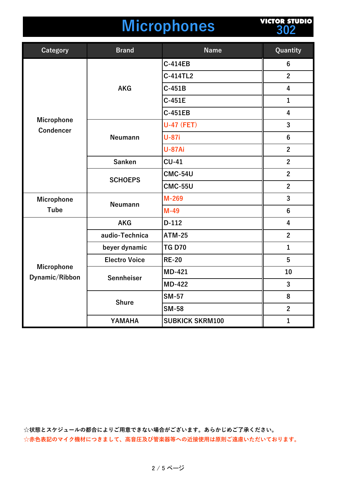## **Microphones**

**VICTOR STUDIO 302**

| Category                              | <b>Brand</b>         | <b>Name</b>            | Quantity                |
|---------------------------------------|----------------------|------------------------|-------------------------|
| <b>Microphone</b><br><b>Condencer</b> | <b>AKG</b>           | <b>C-414EB</b>         | $6\phantom{1}$          |
|                                       |                      | C-414TL2               | $\overline{2}$          |
|                                       |                      | $C-451B$               | $\overline{\mathbf{4}}$ |
|                                       |                      | C-451E                 | $\mathbf{1}$            |
|                                       |                      | <b>C-451EB</b>         | 4                       |
|                                       | <b>Neumann</b>       | <b>U-47 (FET)</b>      | 3                       |
|                                       |                      | <b>U-87i</b>           | $6\phantom{1}$          |
|                                       |                      | <b>U-87Ai</b>          | $\overline{2}$          |
|                                       | <b>Sanken</b>        | $CU-41$                | $\overline{2}$          |
|                                       | <b>SCHOEPS</b>       | <b>CMC-54U</b>         | $\overline{2}$          |
|                                       |                      | <b>CMC-55U</b>         | $\overline{2}$          |
| <b>Microphone</b><br><b>Tube</b>      | <b>Neumann</b>       | M-269                  | 3                       |
|                                       |                      | $M-49$                 | $6\phantom{1}$          |
| <b>Microphone</b><br>Dynamic/Ribbon   | <b>AKG</b>           | $D-112$                | 4                       |
|                                       | audio-Technica       | <b>ATM-25</b>          | $\overline{2}$          |
|                                       | beyer dynamic        | <b>TG D70</b>          | $\mathbf{1}$            |
|                                       | <b>Electro Voice</b> | <b>RE-20</b>           | 5                       |
|                                       | Sennheiser           | <b>MD-421</b>          | 10                      |
|                                       |                      | <b>MD-422</b>          | 3                       |
|                                       | <b>Shure</b>         | <b>SM-57</b>           | 8                       |
|                                       |                      | <b>SM-58</b>           | $\overline{2}$          |
|                                       | YAMAHA               | <b>SUBKICK SKRM100</b> | $\mathbf{1}$            |

**☆状態とスケジュールの都合によりご⽤意できない場合がございます。あらかじめご了承ください。** ☆赤色表記のマイク機材につきまして、高音圧及び管楽器等への近接使用は原則ご遠慮いただいております。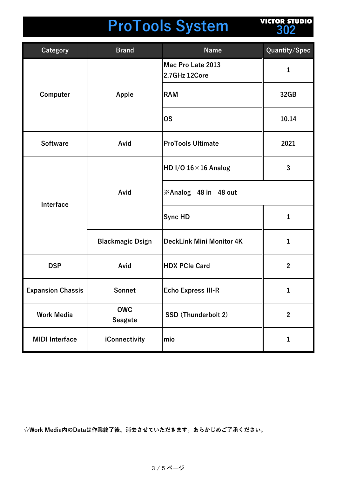# **ProTools System**

**VICTOR STUDIO 302**

| <b>Category</b>          | <b>Brand</b>                 | <b>Name</b>                        | Quantity/Spec  |
|--------------------------|------------------------------|------------------------------------|----------------|
| Computer                 | Apple                        | Mac Pro Late 2013<br>2.7GHz 12Core | 1              |
|                          |                              | <b>RAM</b>                         | 32GB           |
|                          |                              | <b>OS</b>                          | 10.14          |
| <b>Software</b>          | Avid                         | <b>ProTools Ultimate</b>           | 2021           |
| Interface                | Avid                         | HD I/O $16 \times 16$ Analog       | 3              |
|                          |                              | <b>※Analog 48 in 48 out</b>        |                |
|                          |                              | <b>Sync HD</b>                     | 1              |
|                          | <b>Blackmagic Dsign</b>      | <b>DeckLink Mini Monitor 4K</b>    | $\mathbf{1}$   |
| <b>DSP</b>               | Avid                         | <b>HDX PCIe Card</b>               | $\mathbf{2}$   |
| <b>Expansion Chassis</b> | Sonnet                       | <b>Echo Express III-R</b>          | 1              |
| <b>Work Media</b>        | <b>OWC</b><br><b>Seagate</b> | SSD (Thunderbolt 2)                | $\overline{2}$ |
| <b>MIDI</b> Interface    | iConnectivity                | mio                                | 1              |

**☆Work Media内のDataは作業終了後、消去させていただきます。あらかじめご了承ください。**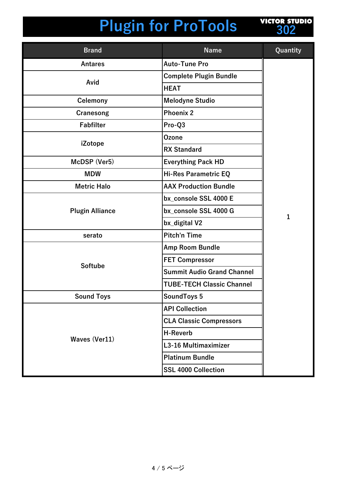# **Plugin for ProTools**



| <b>Brand</b>           | <b>Name</b>                       | Quantity |
|------------------------|-----------------------------------|----------|
| <b>Antares</b>         | <b>Auto-Tune Pro</b>              |          |
|                        | <b>Complete Plugin Bundle</b>     |          |
| Avid                   | <b>HEAT</b>                       |          |
| Celemony               | <b>Melodyne Studio</b>            |          |
| Cranesong              | <b>Phoenix 2</b>                  |          |
| <b>Fabfilter</b>       | Pro-Q3                            |          |
|                        | <b>Ozone</b>                      |          |
| iZotope                | <b>RX Standard</b>                |          |
| McDSP (Ver5)           | <b>Everything Pack HD</b>         |          |
| <b>MDW</b>             | <b>Hi-Res Parametric EQ</b>       |          |
| <b>Metric Halo</b>     | <b>AAX Production Bundle</b>      |          |
|                        | bx console SSL 4000 E             | 1        |
| <b>Plugin Alliance</b> | bx_console SSL 4000 G             |          |
|                        | bx_digital V2                     |          |
| serato                 | <b>Pitch'n Time</b>               |          |
|                        | Amp Room Bundle                   |          |
|                        | <b>FET Compressor</b>             |          |
| <b>Softube</b>         | <b>Summit Audio Grand Channel</b> |          |
|                        | <b>TUBE-TECH Classic Channel</b>  |          |
| <b>Sound Toys</b>      | <b>SoundToys 5</b>                |          |
|                        | <b>API Collection</b>             |          |
|                        | <b>CLA Classic Compressors</b>    |          |
| <b>Waves (Ver11)</b>   | <b>H-Reverb</b>                   |          |
|                        | L3-16 Multimaximizer              |          |
|                        | <b>Platinum Bundle</b>            |          |
|                        | <b>SSL 4000 Collection</b>        |          |